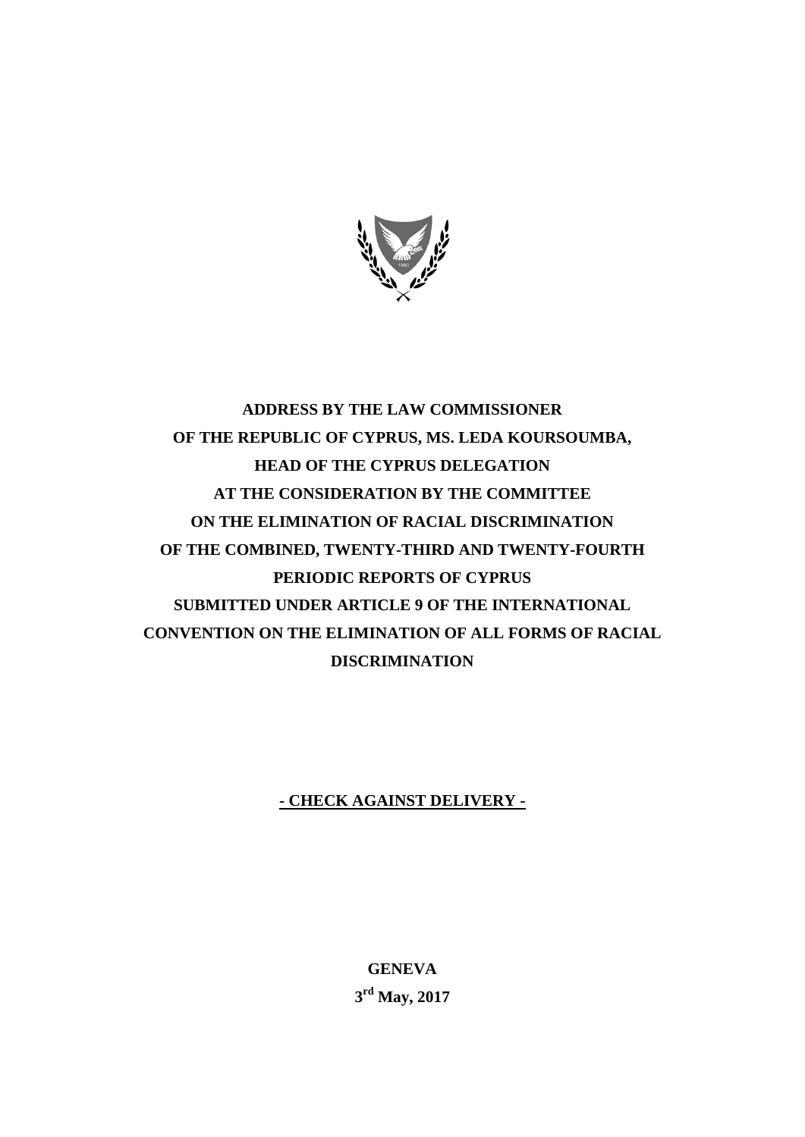

# **ADDRESS BY THE LAW COMMISSIONER OF THE REPUBLIC OF CYPRUS, MS. LEDA KOURSOUMBA, HEAD OF THE CYPRUS DELEGATION AT THE CONSIDERATION BY THE COMMITTEE ON THE ELIMINATION OF RACIAL DISCRIMINATION OF THE COMBINED, TWENTY-THIRD AND TWENTY-FOURTH PERIODIC REPORTS OF CYPRUS SUBMITTED UNDER ARTICLE 9 OF THE INTERNATIONAL CONVENTION ON THE ELIMINATION OF ALL FORMS OF RACIAL DISCRIMINATION**

## **- CHECK AGAINST DELIVERY -**

**GENEVA 3 rd May, 2017**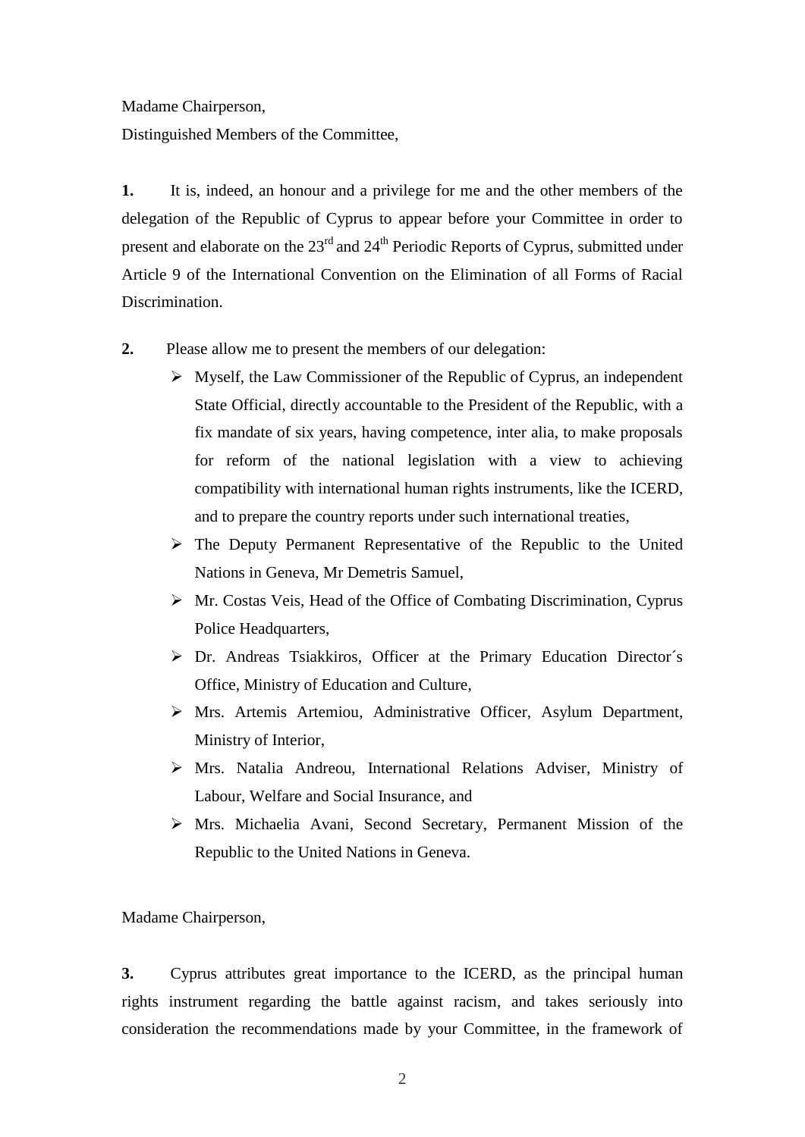Madame Chairperson,

Distinguished Members of the Committee,

**1.** It is, indeed, an honour and a privilege for me and the other members of the delegation of the Republic of Cyprus to appear before your Committee in order to present and elaborate on the 23<sup>rd</sup> and 24<sup>th</sup> Periodic Reports of Cyprus, submitted under Article 9 of the International Convention on the Elimination of all Forms of Racial Discrimination.

- **2.** Please allow me to present the members of our delegation:
	- $\triangleright$  Myself, the Law Commissioner of the Republic of Cyprus, an independent State Official, directly accountable to the President of the Republic, with a fix mandate of six years, having competence, inter alia, to make proposals for reform of the national legislation with a view to achieving compatibility with international human rights instruments, like the ICERD, and to prepare the country reports under such international treaties,
	- The Deputy Permanent Representative of the Republic to the United Nations in Geneva, Mr Demetris Samuel,
	- Mr. Costas Veis, Head of the Office of Combating Discrimination, Cyprus Police Headquarters,
	- Dr. Andreas Tsiakkiros, Officer at the Primary Education Director´s Office, Ministry of Education and Culture,
	- Mrs. Artemis Artemiou, Administrative Officer, Asylum Department, Ministry of Interior,
	- Mrs. Natalia Andreou, International Relations Adviser, Ministry of Labour, Welfare and Social Insurance, and
	- Mrs. Michaelia Avani, Second Secretary, Permanent Mission of the Republic to the United Nations in Geneva.

Madame Chairperson,

**3.** Cyprus attributes great importance to the ICERD, as the principal human rights instrument regarding the battle against racism, and takes seriously into consideration the recommendations made by your Committee, in the framework of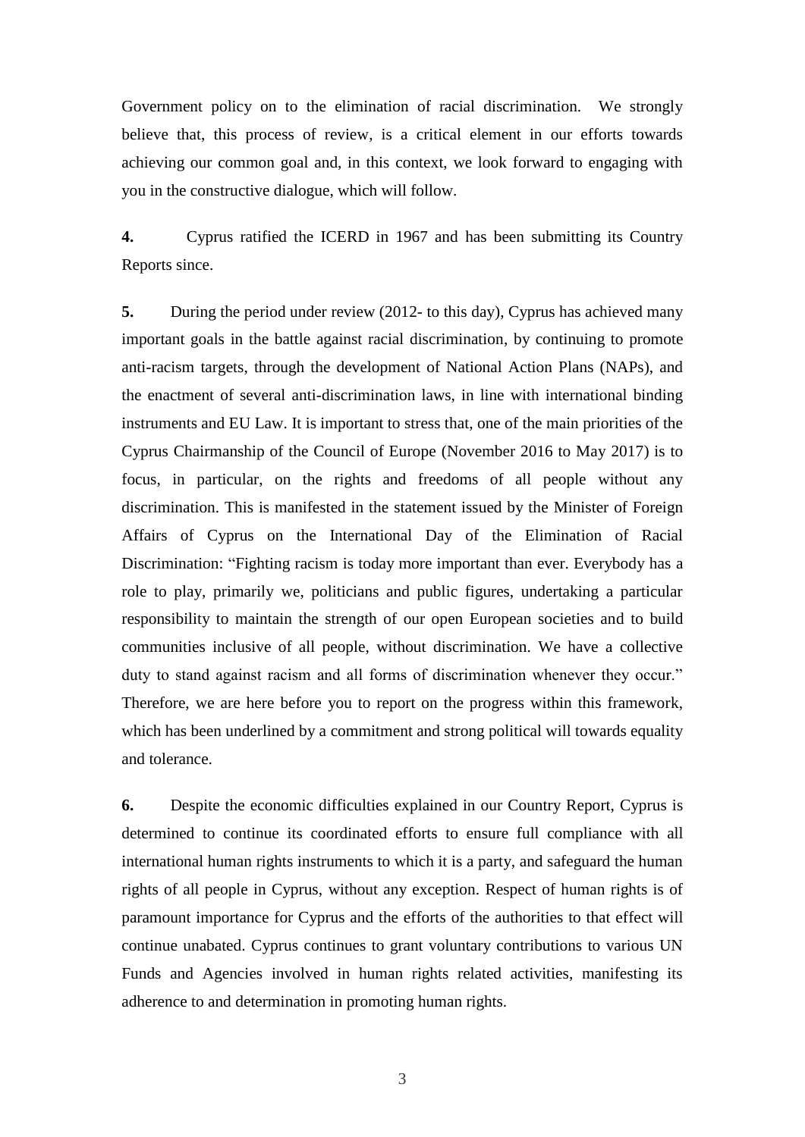Government policy on to the elimination of racial discrimination. We strongly believe that, this process of review, is a critical element in our efforts towards achieving our common goal and, in this context, we look forward to engaging with you in the constructive dialogue, which will follow.

**4.** Cyprus ratified the ICERD in 1967 and has been submitting its Country Reports since.

**5.** During the period under review (2012- to this day), Cyprus has achieved many important goals in the battle against racial discrimination, by continuing to promote anti-racism targets, through the development of National Action Plans (NAPs), and the enactment of several anti-discrimination laws, in line with international binding instruments and EU Law. It is important to stress that, one of the main priorities of the Cyprus Chairmanship of the Council of Europe (November 2016 to May 2017) is to focus, in particular, on the rights and freedoms of all people without any discrimination. This is manifested in the statement issued by the Minister of Foreign Affairs of Cyprus on the International Day of the Elimination of Racial Discrimination: "Fighting racism is today more important than ever. Everybody has a role to play, primarily we, politicians and public figures, undertaking a particular responsibility to maintain the strength of our open European societies and to build communities inclusive of all people, without discrimination. We have a collective duty to stand against racism and all forms of discrimination whenever they occur." Therefore, we are here before you to report on the progress within this framework, which has been underlined by a commitment and strong political will towards equality and tolerance.

**6.** Despite the economic difficulties explained in our Country Report, Cyprus is determined to continue its coordinated efforts to ensure full compliance with all international human rights instruments to which it is a party, and safeguard the human rights of all people in Cyprus, without any exception. Respect of human rights is of paramount importance for Cyprus and the efforts of the authorities to that effect will continue unabated. Cyprus continues to grant voluntary contributions to various UN Funds and Agencies involved in human rights related activities, manifesting its adherence to and determination in promoting human rights.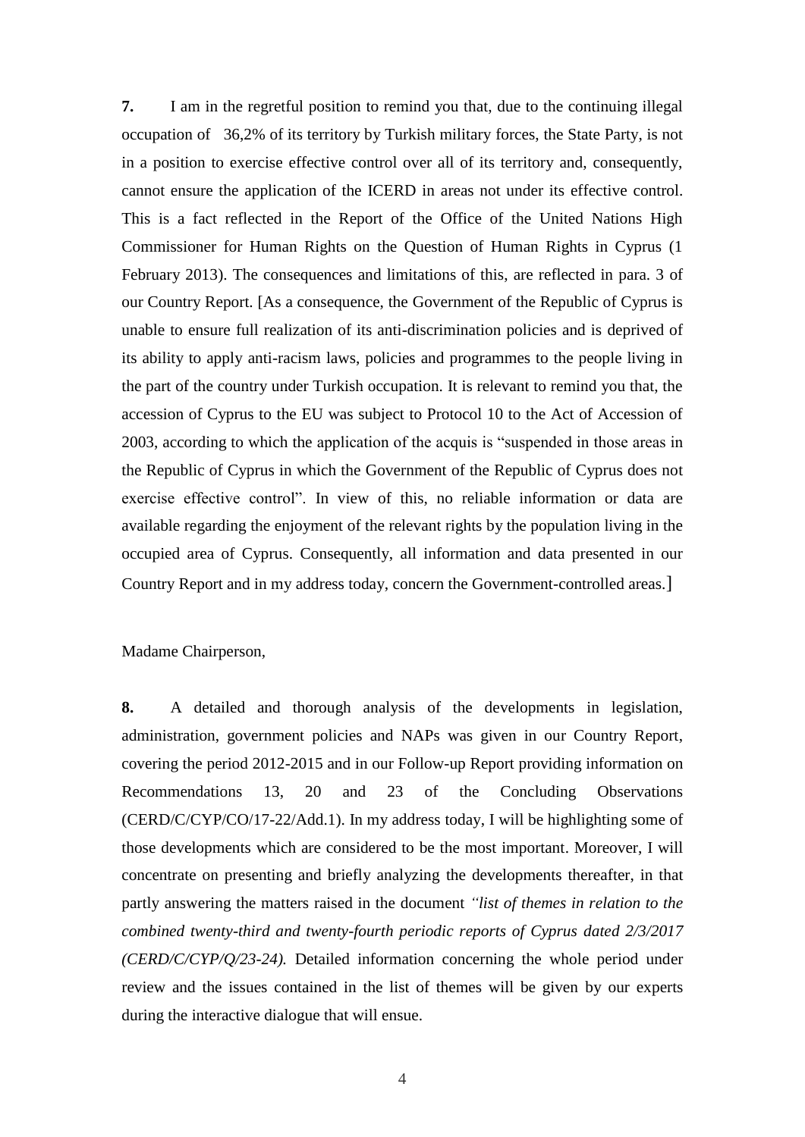**7.** I am in the regretful position to remind you that, due to the continuing illegal occupation of 36,2% of its territory by Turkish military forces, the State Party, is not in a position to exercise effective control over all of its territory and, consequently, cannot ensure the application of the ICERD in areas not under its effective control. This is a fact reflected in the Report of the Office of the United Nations High Commissioner for Human Rights on the Question of Human Rights in Cyprus (1 February 2013). The consequences and limitations of this, are reflected in para. 3 of our Country Report. [As a consequence, the Government of the Republic of Cyprus is unable to ensure full realization of its anti-discrimination policies and is deprived of its ability to apply anti-racism laws, policies and programmes to the people living in the part of the country under Turkish occupation. It is relevant to remind you that, the accession of Cyprus to the EU was subject to Protocol 10 to the Act of Accession of 2003, according to which the application of the acquis is "suspended in those areas in the Republic of Cyprus in which the Government of the Republic of Cyprus does not exercise effective control". In view of this, no reliable information or data are available regarding the enjoyment of the relevant rights by the population living in the occupied area of Cyprus. Consequently, all information and data presented in our Country Report and in my address today, concern the Government-controlled areas.]

Madame Chairperson,

**8.** A detailed and thorough analysis of the developments in legislation, administration, government policies and NAPs was given in our Country Report, covering the period 2012-2015 and in our Follow-up Report providing information on Recommendations 13, 20 and 23 of the Concluding Observations (CERD/C/CYP/CO/17-22/Add.1). In my address today, I will be highlighting some of those developments which are considered to be the most important. Moreover, I will concentrate on presenting and briefly analyzing the developments thereafter, in that partly answering the matters raised in the document *"list of themes in relation to the combined twenty-third and twenty-fourth periodic reports of Cyprus dated 2/3/2017 (CERD/C/CYP/Q/23-24).* Detailed information concerning the whole period under review and the issues contained in the list of themes will be given by our experts during the interactive dialogue that will ensue.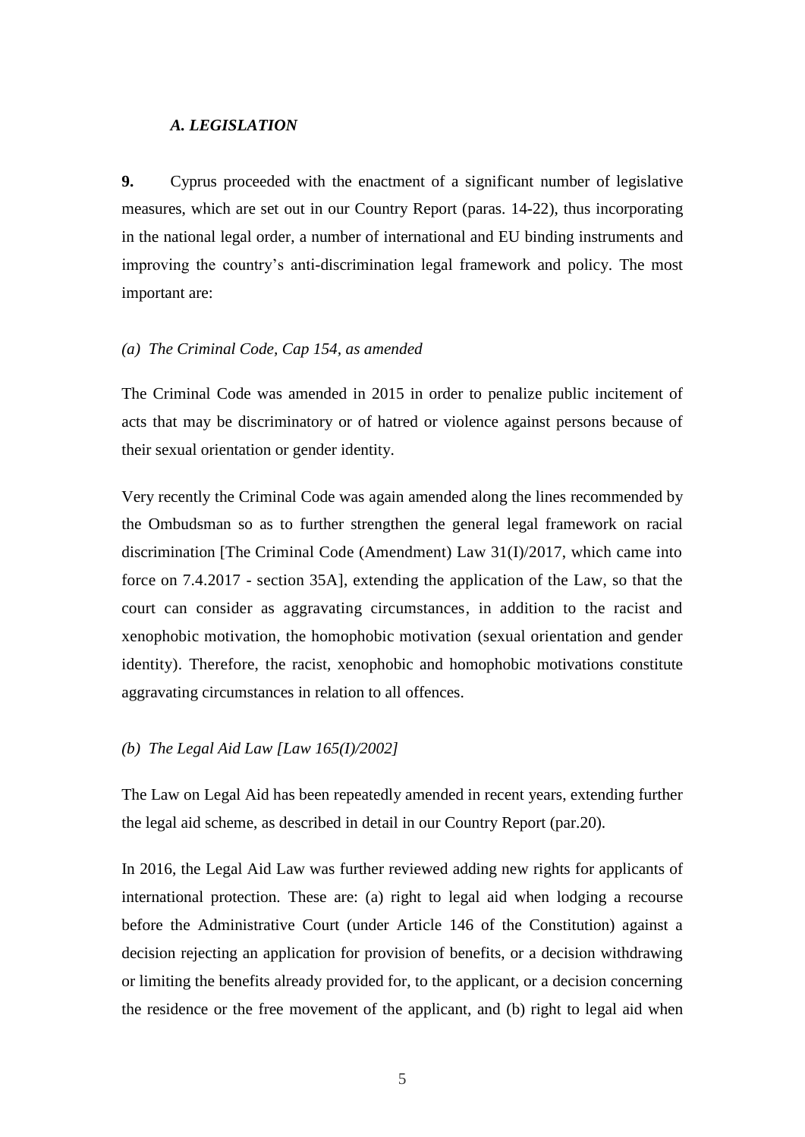### *A. LEGISLATION*

**9.** Cyprus proceeded with the enactment of a significant number of legislative measures, which are set out in our Country Report (paras. 14-22), thus incorporating in the national legal order, a number of international and EU binding instruments and improving the country's anti-discrimination legal framework and policy. The most important are:

### *(a) The Criminal Code, Cap 154, as amended*

The Criminal Code was amended in 2015 in order to penalize public incitement of acts that may be discriminatory or of hatred or violence against persons because of their sexual orientation or gender identity.

Very recently the Criminal Code was again amended along the lines recommended by the Ombudsman so as to further strengthen the general legal framework on racial discrimination [The Criminal Code (Amendment) Law 31(I)/2017, which came into force on 7.4.2017 - section 35A], extending the application of the Law, so that the court can consider as aggravating circumstances, in addition to the racist and xenophobic motivation, the homophobic motivation (sexual orientation and gender identity). Therefore, the racist, xenophobic and homophobic motivations constitute aggravating circumstances in relation to all offences.

### *(b) The Legal Aid Law [Law 165(I)/2002]*

The Law on Legal Aid has been repeatedly amended in recent years, extending further the legal aid scheme, as described in detail in our Country Report (par.20).

In 2016, the Legal Aid Law was further reviewed adding new rights for applicants of international protection. These are: (a) right to legal aid when lodging a recourse before the Administrative Court (under Article 146 of the Constitution) against a decision rejecting an application for provision of benefits, or a decision withdrawing or limiting the benefits already provided for, to the applicant, or a decision concerning the residence or the free movement of the applicant, and (b) right to legal aid when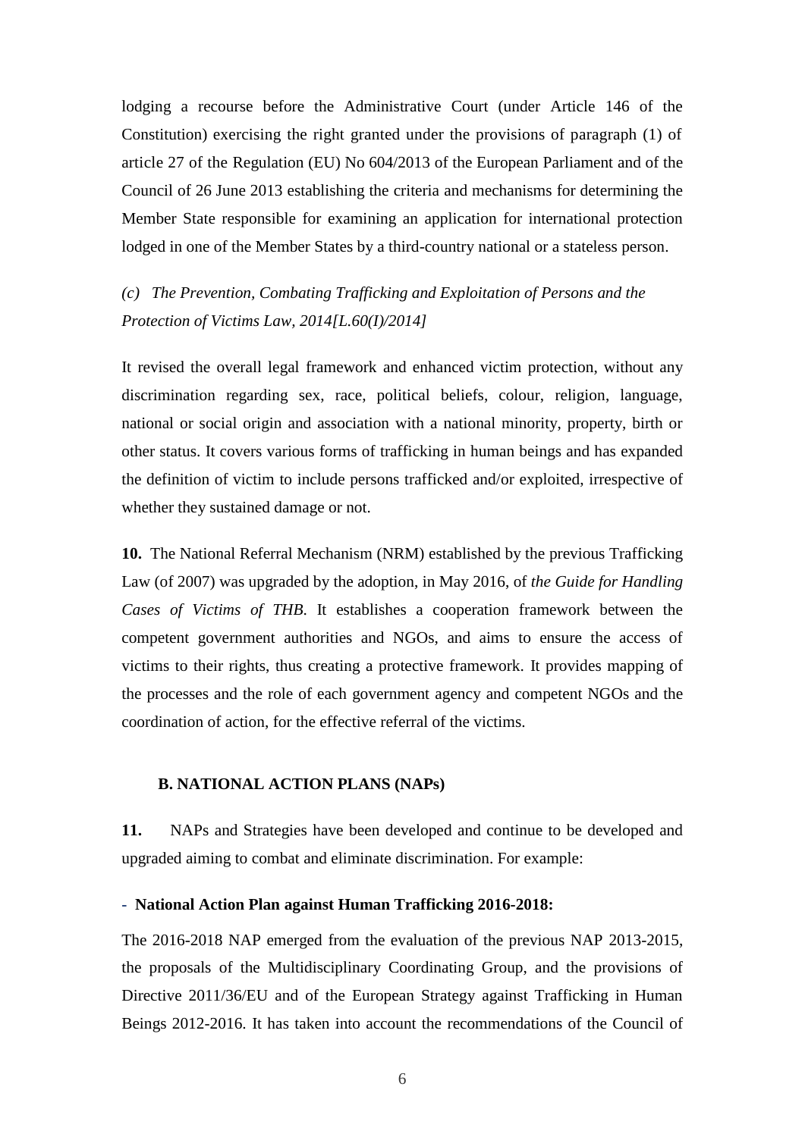lodging a recourse before the Administrative Court (under Article 146 of the Constitution) exercising the right granted under the provisions of paragraph (1) of article 27 of the Regulation (EU) No 604/2013 of the European Parliament and of the Council of 26 June 2013 establishing the criteria and mechanisms for determining the Member State responsible for examining an application for international protection lodged in one of the Member States by a third-country national or a stateless person.

*(c) The Prevention, Combating Trafficking and Exploitation of Persons and the Protection of Victims Law, 2014[L.60(I)/2014]* 

It revised the overall legal framework and enhanced victim protection, without any discrimination regarding sex, race, political beliefs, colour, religion, language, national or social origin and association with a national minority, property, birth or other status. It covers various forms of trafficking in human beings and has expanded the definition of victim to include persons trafficked and/or exploited, irrespective of whether they sustained damage or not.

**10.** The National Referral Mechanism (NRM) established by the previous Trafficking Law (of 2007) was upgraded by the adoption, in May 2016, of *the Guide for Handling Cases of Victims of THB*. It establishes a cooperation framework between the competent government authorities and NGOs, and aims to ensure the access of victims to their rights, thus creating a protective framework. It provides mapping of the processes and the role of each government agency and competent NGOs and the coordination of action, for the effective referral of the victims.

#### **B. NATIONAL ACTION PLANS (NAPs)**

**11.** NAPs and Strategies have been developed and continue to be developed and upgraded aiming to combat and eliminate discrimination. For example:

#### - **National Action Plan against Human Trafficking 2016-2018:**

The 2016-2018 NAP emerged from the evaluation of the previous NAP 2013-2015, the proposals of the Multidisciplinary Coordinating Group, and the provisions of Directive 2011/36/EU and of the European Strategy against Trafficking in Human Beings 2012-2016. It has taken into account the recommendations of the Council of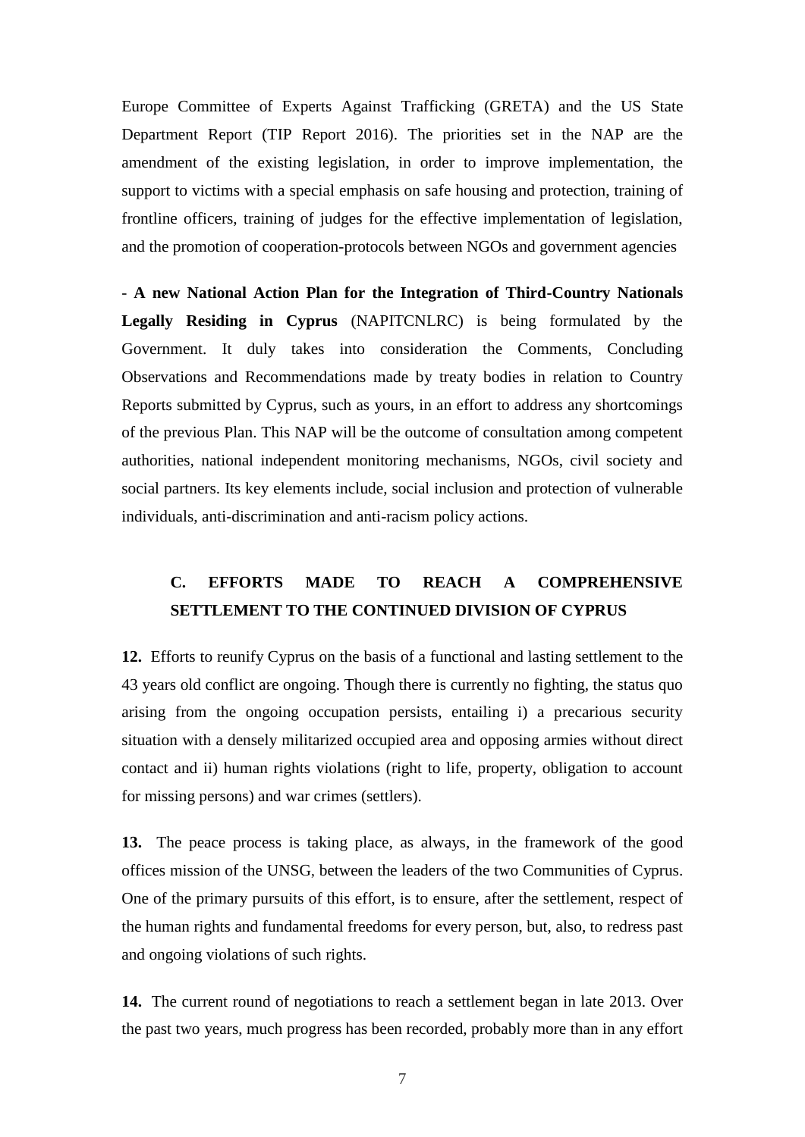Europe Committee of Experts Against Trafficking (GRETA) and the US State Department Report (TIP Report 2016). The priorities set in the NAP are the amendment of the existing legislation, in order to improve implementation, the support to victims with a special emphasis on safe housing and protection, training of frontline officers, training of judges for the effective implementation of legislation, and the promotion of cooperation-protocols between NGOs and government agencies

- **A new National Action Plan for the Integration of Third-Country Nationals Legally Residing in Cyprus** (NAPITCNLRC) is being formulated by the Government. It duly takes into consideration the Comments, Concluding Observations and Recommendations made by treaty bodies in relation to Country Reports submitted by Cyprus, such as yours, in an effort to address any shortcomings of the previous Plan. This NAP will be the outcome of consultation among competent authorities, national independent monitoring mechanisms, NGOs, civil society and social partners. Its key elements include, social inclusion and protection of vulnerable individuals, anti-discrimination and anti-racism policy actions.

# **C. EFFORTS MADE TO REACH A COMPREHENSIVE SETTLEMENT TO THE CONTINUED DIVISION OF CYPRUS**

**12.** Efforts to reunify Cyprus on the basis of a functional and lasting settlement to the 43 years old conflict are ongoing. Though there is currently no fighting, the status quo arising from the ongoing occupation persists, entailing i) a precarious security situation with a densely militarized occupied area and opposing armies without direct contact and ii) human rights violations (right to life, property, obligation to account for missing persons) and war crimes (settlers).

**13.** The peace process is taking place, as always, in the framework of the good offices mission of the UNSG, between the leaders of the two Communities of Cyprus. One of the primary pursuits of this effort, is to ensure, after the settlement, respect of the human rights and fundamental freedoms for every person, but, also, to redress past and ongoing violations of such rights.

**14.** The current round of negotiations to reach a settlement began in late 2013. Over the past two years, much progress has been recorded, probably more than in any effort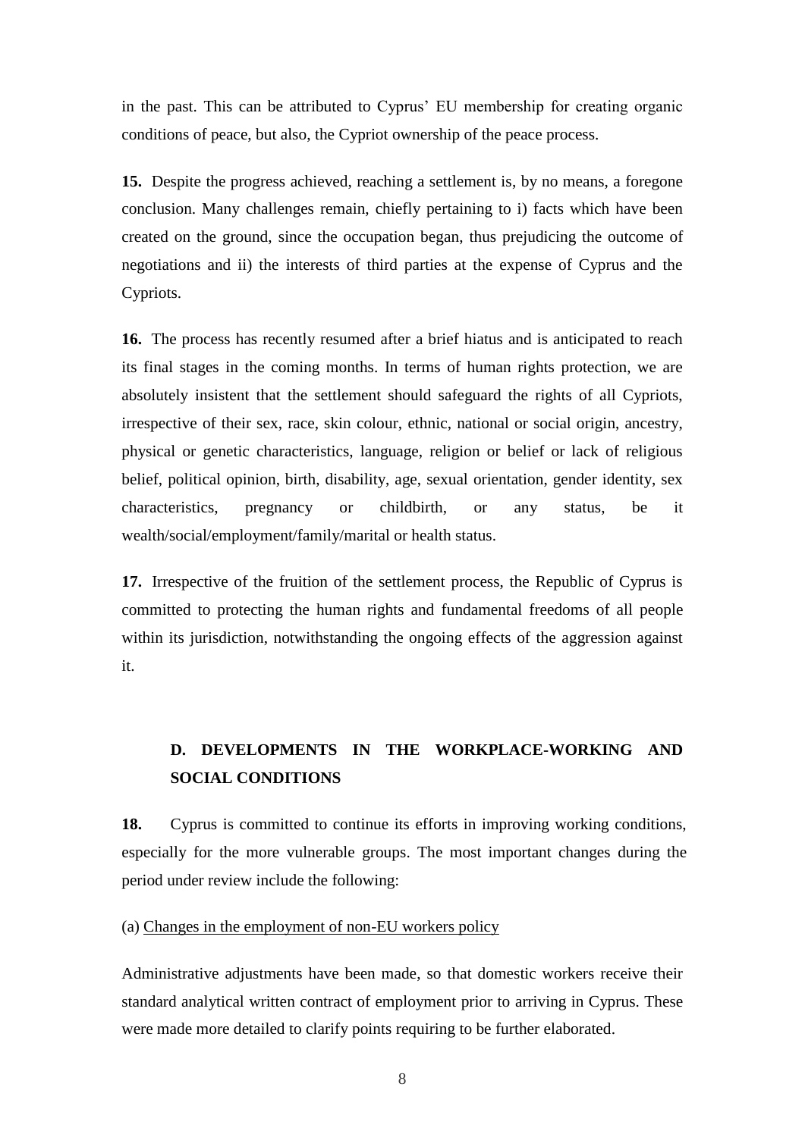in the past. This can be attributed to Cyprus' EU membership for creating organic conditions of peace, but also, the Cypriot ownership of the peace process.

**15.** Despite the progress achieved, reaching a settlement is, by no means, a foregone conclusion. Many challenges remain, chiefly pertaining to i) facts which have been created on the ground, since the occupation began, thus prejudicing the outcome of negotiations and ii) the interests of third parties at the expense of Cyprus and the Cypriots.

**16.** The process has recently resumed after a brief hiatus and is anticipated to reach its final stages in the coming months. In terms of human rights protection, we are absolutely insistent that the settlement should safeguard the rights of all Cypriots, irrespective of their sex, race, skin colour, ethnic, national or social origin, ancestry, physical or genetic characteristics, language, religion or belief or lack of religious belief, political opinion, birth, disability, age, sexual orientation, gender identity, sex characteristics, pregnancy or childbirth, or any status, be it wealth/social/employment/family/marital or health status.

**17.** Irrespective of the fruition of the settlement process, the Republic of Cyprus is committed to protecting the human rights and fundamental freedoms of all people within its jurisdiction, notwithstanding the ongoing effects of the aggression against it.

# **D. DEVELOPMENTS IN THE WORKPLACE-WORKING AND SOCIAL CONDITIONS**

**18.** Cyprus is committed to continue its efforts in improving working conditions, especially for the more vulnerable groups. The most important changes during the period under review include the following:

(a) Changes in the employment of non-EU workers policy

Administrative adjustments have been made, so that domestic workers receive their standard analytical written contract of employment prior to arriving in Cyprus. These were made more detailed to clarify points requiring to be further elaborated.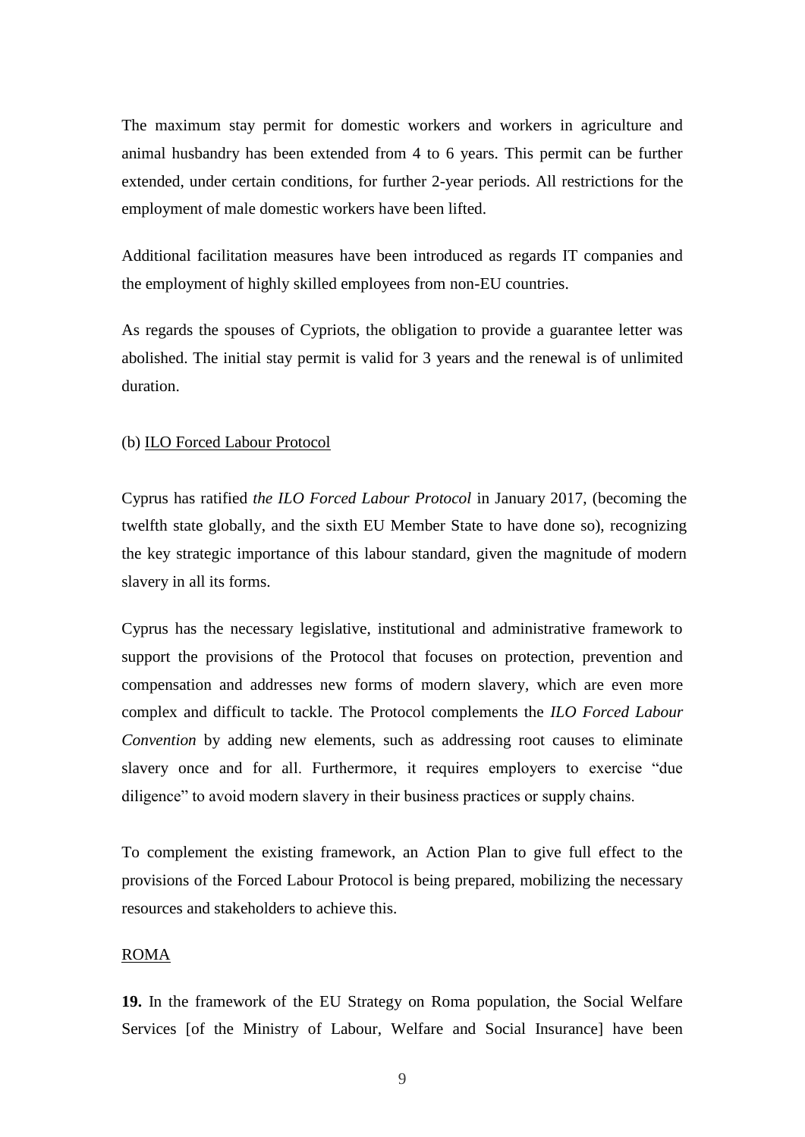The maximum stay permit for domestic workers and workers in agriculture and animal husbandry has been extended from 4 to 6 years. This permit can be further extended, under certain conditions, for further 2-year periods. All restrictions for the employment of male domestic workers have been lifted.

Additional facilitation measures have been introduced as regards IT companies and the employment of highly skilled employees from non-EU countries.

As regards the spouses of Cypriots, the obligation to provide a guarantee letter was abolished. The initial stay permit is valid for 3 years and the renewal is of unlimited duration.

### (b) ILO Forced Labour Protocol

Cyprus has ratified *the ILO Forced Labour Protocol* in January 2017, (becoming the twelfth state globally, and the sixth EU Member State to have done so), recognizing the key strategic importance of this labour standard, given the magnitude of modern slavery in all its forms.

Cyprus has the necessary legislative, institutional and administrative framework to support the provisions of the Protocol that focuses on protection, prevention and compensation and addresses new forms of modern slavery, which are even more complex and difficult to tackle. The Protocol complements the *ILO Forced Labour Convention* by adding new elements, such as addressing root causes to eliminate slavery once and for all. Furthermore, it requires employers to exercise "due diligence" to avoid modern slavery in their business practices or supply chains.

To complement the existing framework, an Action Plan to give full effect to the provisions of the Forced Labour Protocol is being prepared, mobilizing the necessary resources and stakeholders to achieve this.

#### ROMA

**19.** In the framework of the EU Strategy on Roma population, the Social Welfare Services [of the Ministry of Labour, Welfare and Social Insurance] have been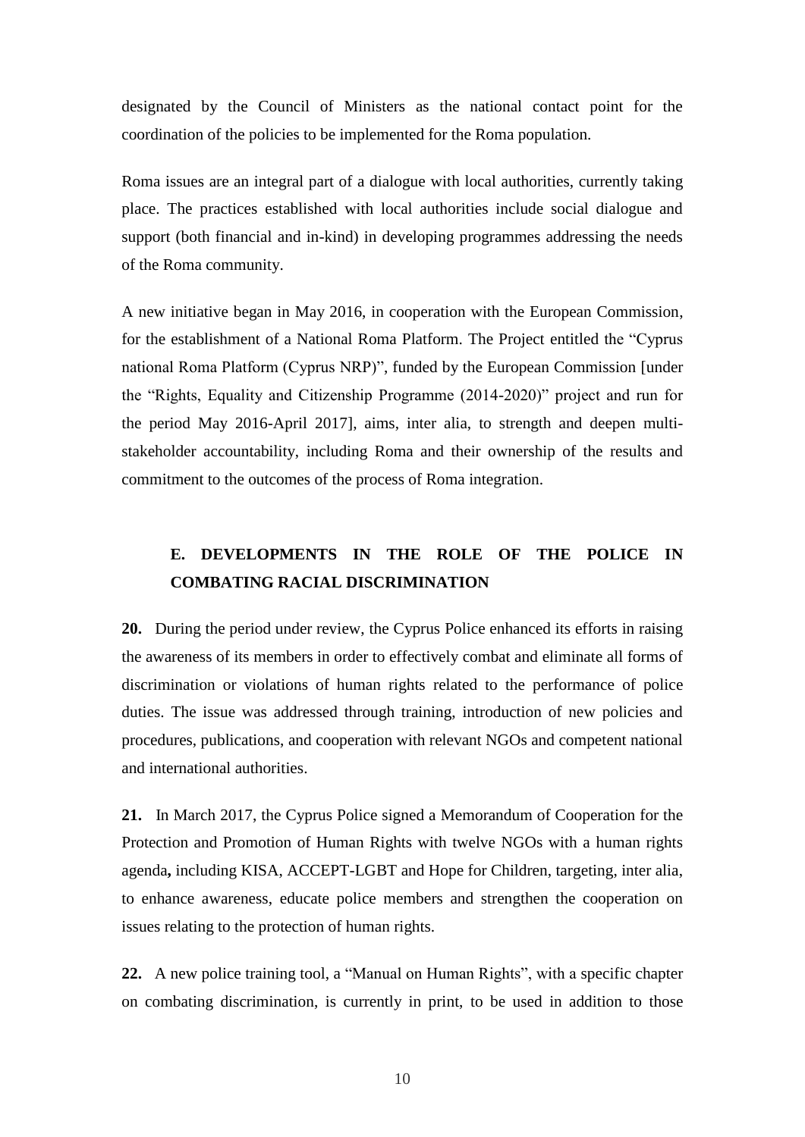designated by the Council of Ministers as the national contact point for the coordination of the policies to be implemented for the Roma population.

Roma issues are an integral part of a dialogue with local authorities, currently taking place. The practices established with local authorities include social dialogue and support (both financial and in-kind) in developing programmes addressing the needs of the Roma community.

A new initiative began in May 2016, in cooperation with the European Commission, for the establishment of a National Roma Platform. The Project entitled the "Cyprus national Roma Platform (Cyprus NRP)", funded by the European Commission [under the "Rights, Equality and Citizenship Programme (2014-2020)" project and run for the period May 2016-April 2017], aims, inter alia, to strength and deepen multistakeholder accountability, including Roma and their ownership of the results and commitment to the outcomes of the process of Roma integration.

# **E. DEVELOPMENTS IN THE ROLE OF THE POLICE IN COMBATING RACIAL DISCRIMINATION**

**20.** During the period under review, the Cyprus Police enhanced its efforts in raising the awareness of its members in order to effectively combat and eliminate all forms of discrimination or violations of human rights related to the performance of police duties. The issue was addressed through training, introduction of new policies and procedures, publications, and cooperation with relevant NGOs and competent national and international authorities.

**21.** In March 2017, the Cyprus Police signed a Memorandum of Cooperation for the Protection and Promotion of Human Rights with twelve NGOs with a human rights agenda**,** including KISA, ACCEPT-LGBT and Hope for Children, targeting, inter alia, to enhance awareness, educate police members and strengthen the cooperation on issues relating to the protection of human rights.

**22.** A new police training tool, a "Manual on Human Rights", with a specific chapter on combating discrimination, is currently in print, to be used in addition to those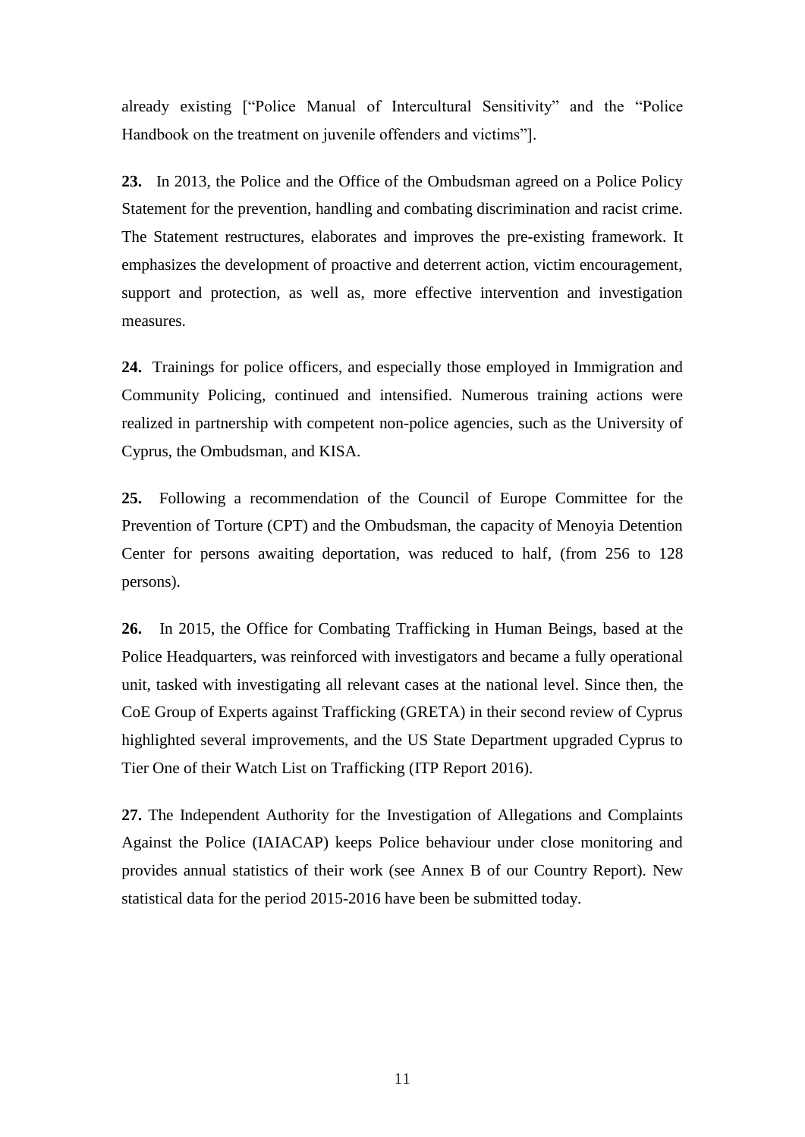already existing ["Police Manual of Intercultural Sensitivity" and the "Police Handbook on the treatment on juvenile offenders and victims"].

**23.** In 2013, the Police and the Office of the Ombudsman agreed on a Police Policy Statement for the prevention, handling and combating discrimination and racist crime. The Statement restructures, elaborates and improves the pre-existing framework. It emphasizes the development of proactive and deterrent action, victim encouragement, support and protection, as well as, more effective intervention and investigation measures.

**24.** Trainings for police officers, and especially those employed in Immigration and Community Policing, continued and intensified. Numerous training actions were realized in partnership with competent non-police agencies, such as the University of Cyprus, the Ombudsman, and KISA.

**25.** Following a recommendation of the Council of Europe Committee for the Prevention of Torture (CPT) and the Ombudsman, the capacity of Menoyia Detention Center for persons awaiting deportation, was reduced to half, (from 256 to 128 persons).

**26.** In 2015, the Office for Combating Trafficking in Human Beings, based at the Police Headquarters, was reinforced with investigators and became a fully operational unit, tasked with investigating all relevant cases at the national level. Since then, the CoE Group of Experts against Trafficking (GRETA) in their second review of Cyprus highlighted several improvements, and the US State Department upgraded Cyprus to Tier One of their Watch List on Trafficking (ITP Report 2016).

**27.** The Independent Authority for the Investigation of Allegations and Complaints Against the Police (IAIACAP) keeps Police behaviour under close monitoring and provides annual statistics of their work (see Annex B of our Country Report). New statistical data for the period 2015-2016 have been be submitted today.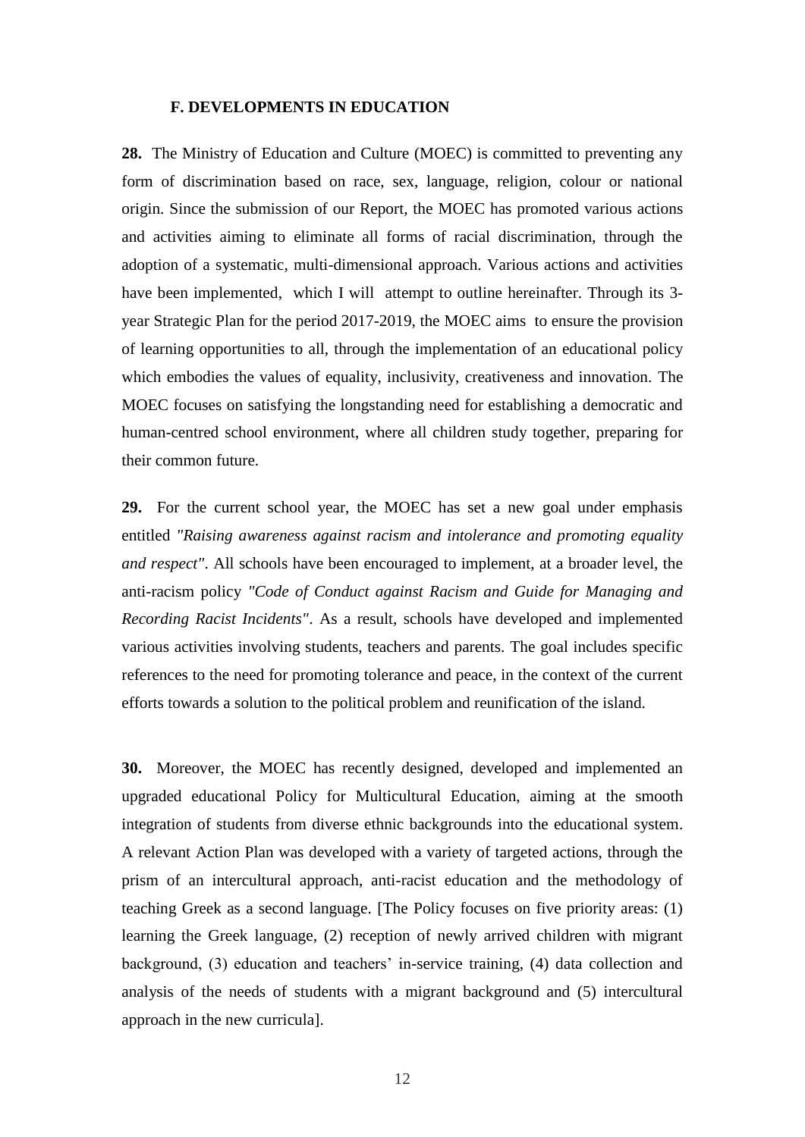#### **F. DEVELOPMENTS IN EDUCATION**

**28.** The Ministry of Education and Culture (MOEC) is committed to preventing any form of discrimination based on race, sex, language, religion, colour or national origin. Since the submission of our Report, the MOEC has promoted various actions and activities aiming to eliminate all forms of racial discrimination, through the adoption of a systematic, multi-dimensional approach. Various actions and activities have been implemented, which I will attempt to outline hereinafter. Through its 3 year Strategic Plan for the period 2017-2019, the MOEC aims to ensure the provision of learning opportunities to all, through the implementation of an educational policy which embodies the values of equality, inclusivity, creativeness and innovation. The MOEC focuses on satisfying the longstanding need for establishing a democratic and human-centred school environment, where all children study together, preparing for their common future.

**29.** For the current school year, the MOEC has set a new goal under emphasis entitled *"Raising awareness against racism and intolerance and promoting equality and respect"*. All schools have been encouraged to implement, at a broader level, the anti-racism policy *"Code of Conduct against Racism and Guide for Managing and Recording Racist Incidents"*. As a result, schools have developed and implemented various activities involving students, teachers and parents. The goal includes specific references to the need for promoting tolerance and peace, in the context of the current efforts towards a solution to the political problem and reunification of the island.

**30.** Moreover, the MOEC has recently designed, developed and implemented an upgraded educational Policy for Multicultural Education, aiming at the smooth integration of students from diverse ethnic backgrounds into the educational system. A relevant Action Plan was developed with a variety of targeted actions, through the prism of an intercultural approach, anti-racist education and the methodology of teaching Greek as a second language. [The Policy focuses on five priority areas: (1) learning the Greek language, (2) reception of newly arrived children with migrant background, (3) education and teachers' in-service training, (4) data collection and analysis of the needs of students with a migrant background and (5) intercultural approach in the new curricula].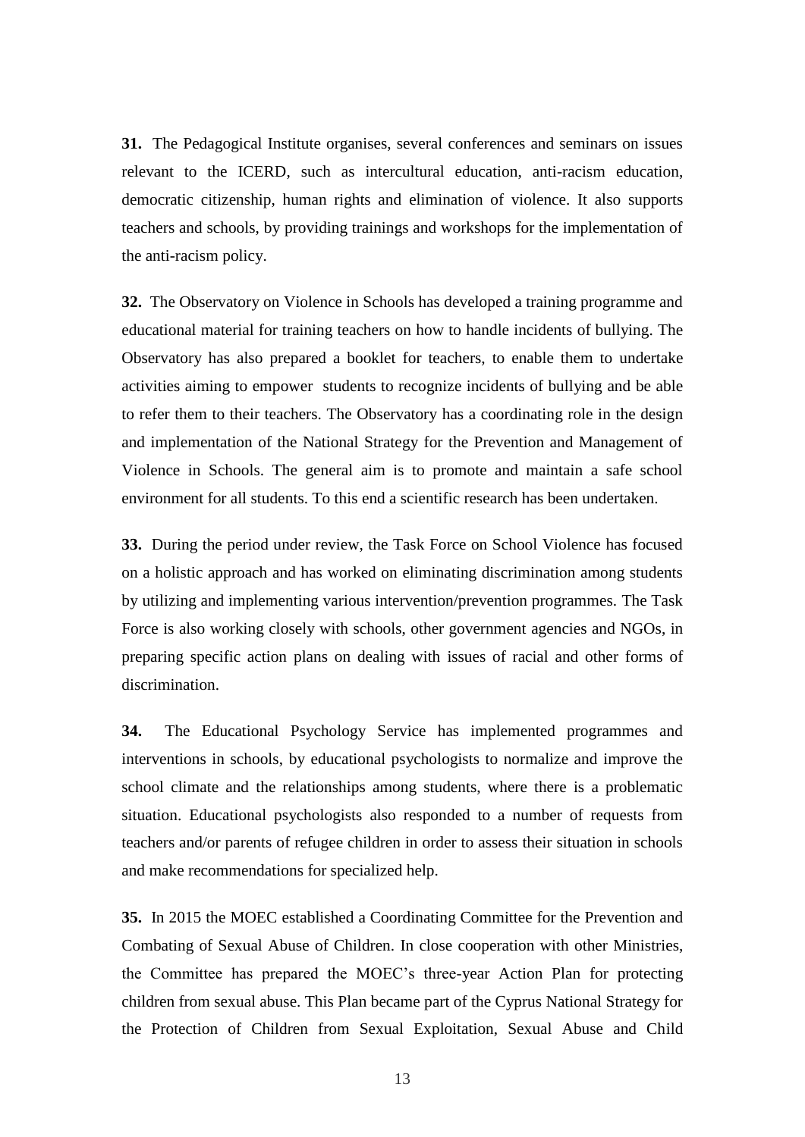**31.** The Pedagogical Institute organises, several conferences and seminars on issues relevant to the ICERD, such as intercultural education, anti-racism education, democratic citizenship, human rights and elimination of violence. It also supports teachers and schools, by providing trainings and workshops for the implementation of the anti-racism policy.

**32.** The Observatory on Violence in Schools has developed a training programme and educational material for training teachers on how to handle incidents of bullying. The Observatory has also prepared a booklet for teachers, to enable them to undertake activities aiming to empower students to recognize incidents of bullying and be able to refer them to their teachers. The Observatory has a coordinating role in the design and implementation of the National Strategy for the Prevention and Management of Violence in Schools. The general aim is to promote and maintain a safe school environment for all students. To this end a scientific research has been undertaken.

**33.** During the period under review, the Task Force on School Violence has focused on a holistic approach and has worked on eliminating discrimination among students by utilizing and implementing various intervention/prevention programmes. The Task Force is also working closely with schools, other government agencies and NGOs, in preparing specific action plans on dealing with issues of racial and other forms of discrimination.

**34.** The Educational Psychology Service has implemented programmes and interventions in schools, by educational psychologists to normalize and improve the school climate and the relationships among students, where there is a problematic situation. Educational psychologists also responded to a number of requests from teachers and/or parents of refugee children in order to assess their situation in schools and make recommendations for specialized help.

**35.** In 2015 the MOEC established a Coordinating Committee for the Prevention and Combating of Sexual Abuse of Children. In close cooperation with other Ministries, the Committee has prepared the MOEC's three-year Action Plan for protecting children from sexual abuse. This Plan became part of the Cyprus National Strategy for the Protection of Children from Sexual Exploitation, Sexual Abuse and Child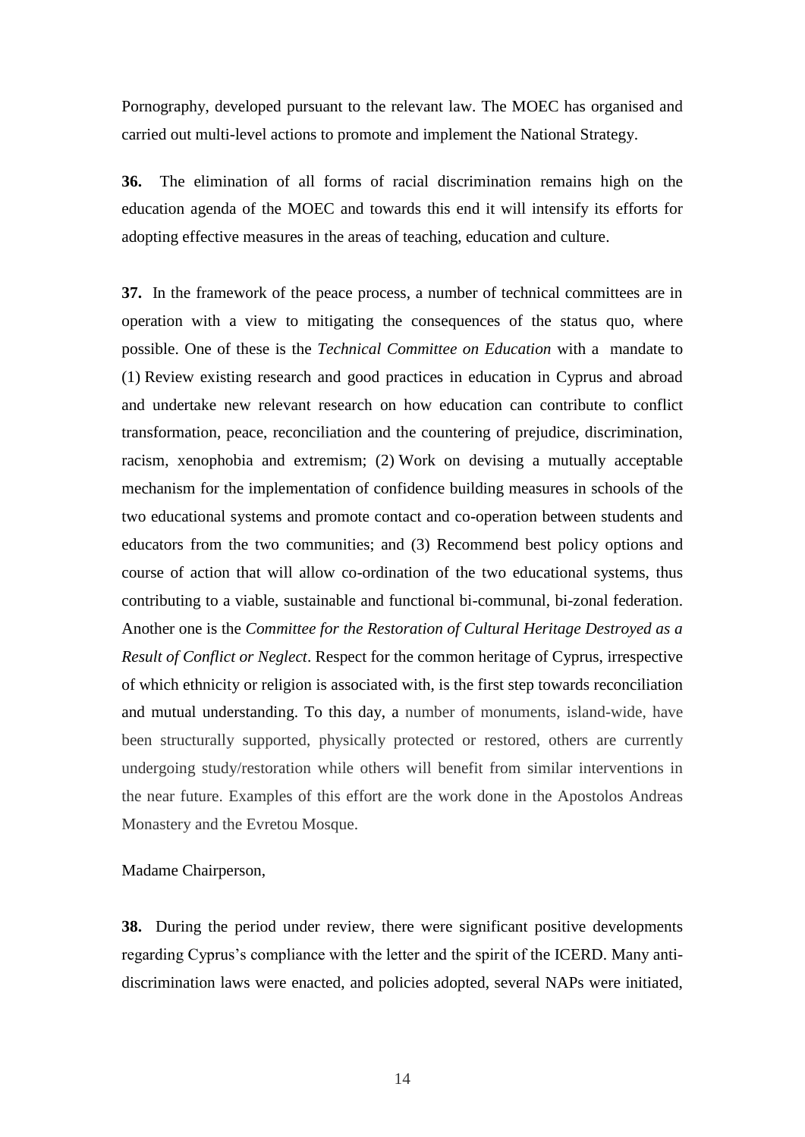Pornography, developed pursuant to the relevant law. The MOEC has organised and carried out multi-level actions to promote and implement the National Strategy.

**36.** The elimination of all forms of racial discrimination remains high on the education agenda of the MOEC and towards this end it will intensify its efforts for adopting effective measures in the areas of teaching, education and culture.

**37.** In the framework of the peace process, a number of technical committees are in operation with a view to mitigating the consequences of the status quo, where possible. One of these is the *Technical Committee on Education* with a mandate to (1) Review existing research and good practices in education in Cyprus and abroad and undertake new relevant research on how education can contribute to conflict transformation, peace, reconciliation and the countering of prejudice, discrimination, racism, xenophobia and extremism; (2) Work on devising a mutually acceptable mechanism for the implementation of confidence building measures in schools of the two educational systems and promote contact and co-operation between students and educators from the two communities; and (3) Recommend best policy options and course of action that will allow co-ordination of the two educational systems, thus contributing to a viable, sustainable and functional bi-communal, bi-zonal federation. Another one is the *Committee for the Restoration of Cultural Heritage Destroyed as a Result of Conflict or Neglect*. Respect for the common heritage of Cyprus, irrespective of which ethnicity or religion is associated with, is the first step towards reconciliation and mutual understanding. To this day, a number of monuments, island-wide, have been structurally supported, physically protected or restored, others are currently undergoing study/restoration while others will benefit from similar interventions in the near future. Examples of this effort are the work done in the Apostolos Andreas Monastery and the Evretou Mosque.

Madame Chairperson,

**38.** During the period under review, there were significant positive developments regarding Cyprus's compliance with the letter and the spirit of the ICERD. Many antidiscrimination laws were enacted, and policies adopted, several NAPs were initiated,